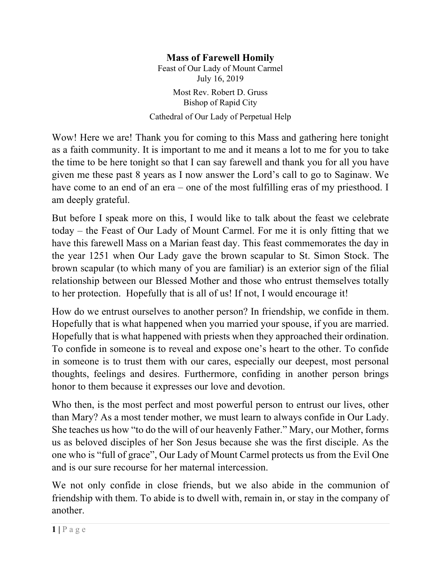## **Mass of Farewell Homily**

Feast of Our Lady of Mount Carmel July 16, 2019

Most Rev. Robert D. Gruss Bishop of Rapid City

Cathedral of Our Lady of Perpetual Help

Wow! Here we are! Thank you for coming to this Mass and gathering here tonight as a faith community. It is important to me and it means a lot to me for you to take the time to be here tonight so that I can say farewell and thank you for all you have given me these past 8 years as I now answer the Lord's call to go to Saginaw. We have come to an end of an era – one of the most fulfilling eras of my priesthood. I am deeply grateful.

But before I speak more on this, I would like to talk about the feast we celebrate today – the Feast of Our Lady of Mount Carmel. For me it is only fitting that we have this farewell Mass on a Marian feast day. This feast commemorates the day in the year 1251 when Our Lady gave the brown scapular to St. Simon Stock. The brown scapular (to which many of you are familiar) is an exterior sign of the filial relationship between our Blessed Mother and those who entrust themselves totally to her protection. Hopefully that is all of us! If not, I would encourage it!

How do we entrust ourselves to another person? In friendship, we confide in them. Hopefully that is what happened when you married your spouse, if you are married. Hopefully that is what happened with priests when they approached their ordination. To confide in someone is to reveal and expose one's heart to the other. To confide in someone is to trust them with our cares, especially our deepest, most personal thoughts, feelings and desires. Furthermore, confiding in another person brings honor to them because it expresses our love and devotion.

Who then, is the most perfect and most powerful person to entrust our lives, other than Mary? As a most tender mother, we must learn to always confide in Our Lady. She teaches us how "to do the will of our heavenly Father." Mary, our Mother, forms us as beloved disciples of her Son Jesus because she was the first disciple. As the one who is "full of grace", Our Lady of Mount Carmel protects us from the Evil One and is our sure recourse for her maternal intercession.

We not only confide in close friends, but we also abide in the communion of friendship with them. To abide is to dwell with, remain in, or stay in the company of another.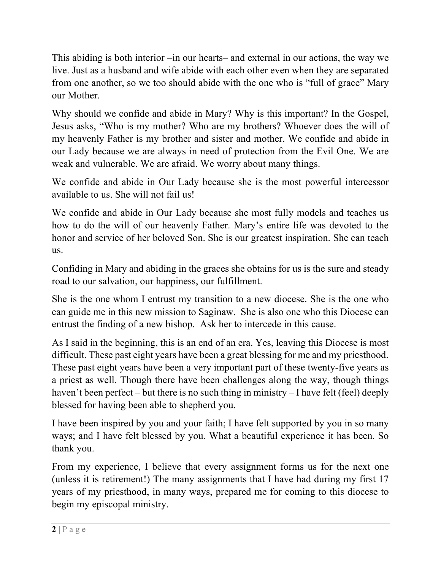This abiding is both interior –in our hearts– and external in our actions, the way we live. Just as a husband and wife abide with each other even when they are separated from one another, so we too should abide with the one who is "full of grace" Mary our Mother.

Why should we confide and abide in Mary? Why is this important? In the Gospel, Jesus asks, "Who is my mother? Who are my brothers? Whoever does the will of my heavenly Father is my brother and sister and mother. We confide and abide in our Lady because we are always in need of protection from the Evil One. We are weak and vulnerable. We are afraid. We worry about many things.

We confide and abide in Our Lady because she is the most powerful intercessor available to us. She will not fail us!

We confide and abide in Our Lady because she most fully models and teaches us how to do the will of our heavenly Father. Mary's entire life was devoted to the honor and service of her beloved Son. She is our greatest inspiration. She can teach us.

Confiding in Mary and abiding in the graces she obtains for us is the sure and steady road to our salvation, our happiness, our fulfillment.

She is the one whom I entrust my transition to a new diocese. She is the one who can guide me in this new mission to Saginaw. She is also one who this Diocese can entrust the finding of a new bishop. Ask her to intercede in this cause.

As I said in the beginning, this is an end of an era. Yes, leaving this Diocese is most difficult. These past eight years have been a great blessing for me and my priesthood. These past eight years have been a very important part of these twenty-five years as a priest as well. Though there have been challenges along the way, though things haven't been perfect – but there is no such thing in ministry – I have felt (feel) deeply blessed for having been able to shepherd you.

I have been inspired by you and your faith; I have felt supported by you in so many ways; and I have felt blessed by you. What a beautiful experience it has been. So thank you.

From my experience, I believe that every assignment forms us for the next one (unless it is retirement!) The many assignments that I have had during my first 17 years of my priesthood, in many ways, prepared me for coming to this diocese to begin my episcopal ministry.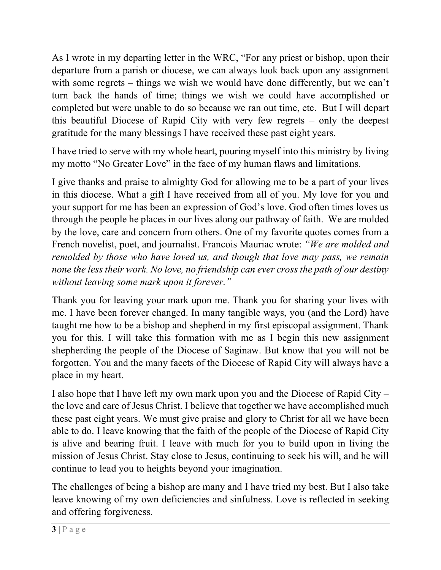As I wrote in my departing letter in the WRC, "For any priest or bishop, upon their departure from a parish or diocese, we can always look back upon any assignment with some regrets – things we wish we would have done differently, but we can't turn back the hands of time; things we wish we could have accomplished or completed but were unable to do so because we ran out time, etc. But I will depart this beautiful Diocese of Rapid City with very few regrets – only the deepest gratitude for the many blessings I have received these past eight years.

I have tried to serve with my whole heart, pouring myself into this ministry by living my motto "No Greater Love" in the face of my human flaws and limitations.

I give thanks and praise to almighty God for allowing me to be a part of your lives in this diocese. What a gift I have received from all of you. My love for you and your support for me has been an expression of God's love. God often times loves us through the people he places in our lives along our pathway of faith. We are molded by the love, care and concern from others. One of my favorite quotes comes from a French novelist, poet, and journalist. Francois Mauriac wrote: *"We are molded and remolded by those who have loved us, and though that love may pass, we remain none the less their work. No love, no friendship can ever cross the path of our destiny without leaving some mark upon it forever."*

Thank you for leaving your mark upon me. Thank you for sharing your lives with me. I have been forever changed. In many tangible ways, you (and the Lord) have taught me how to be a bishop and shepherd in my first episcopal assignment. Thank you for this. I will take this formation with me as I begin this new assignment shepherding the people of the Diocese of Saginaw. But know that you will not be forgotten. You and the many facets of the Diocese of Rapid City will always have a place in my heart.

I also hope that I have left my own mark upon you and the Diocese of Rapid City – the love and care of Jesus Christ. I believe that together we have accomplished much these past eight years. We must give praise and glory to Christ for all we have been able to do. I leave knowing that the faith of the people of the Diocese of Rapid City is alive and bearing fruit. I leave with much for you to build upon in living the mission of Jesus Christ. Stay close to Jesus, continuing to seek his will, and he will continue to lead you to heights beyond your imagination.

The challenges of being a bishop are many and I have tried my best. But I also take leave knowing of my own deficiencies and sinfulness. Love is reflected in seeking and offering forgiveness.